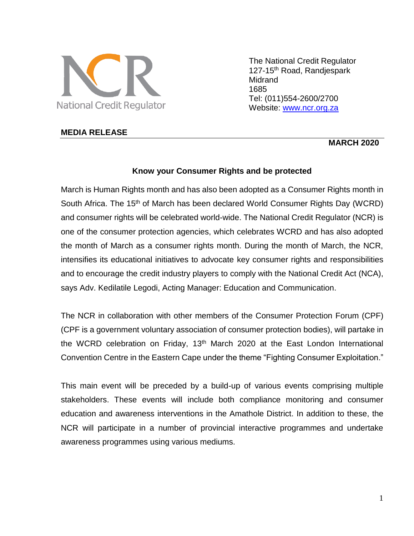

The National Credit Regulator 127-15<sup>th</sup> Road, Randjespark Midrand 1685 Tel: (011)554-2600/2700 Website: [www.ncr.org.za](http://www.ncr.org.za/)

### **MEDIA RELEASE**

# **MARCH 2020**

#### **Know your Consumer Rights and be protected**

March is Human Rights month and has also been adopted as a Consumer Rights month in South Africa. The 15<sup>th</sup> of March has been declared World Consumer Rights Day (WCRD) and consumer rights will be celebrated world-wide. The National Credit Regulator (NCR) is one of the consumer protection agencies, which celebrates WCRD and has also adopted the month of March as a consumer rights month. During the month of March, the NCR, intensifies its educational initiatives to advocate key consumer rights and responsibilities and to encourage the credit industry players to comply with the National Credit Act (NCA), says Adv. Kedilatile Legodi, Acting Manager: Education and Communication.

The NCR in collaboration with other members of the Consumer Protection Forum (CPF) (CPF is a government voluntary association of consumer protection bodies), will partake in the WCRD celebration on Friday, 13<sup>th</sup> March 2020 at the East London International Convention Centre in the Eastern Cape under the theme "Fighting Consumer Exploitation."

This main event will be preceded by a build-up of various events comprising multiple stakeholders. These events will include both compliance monitoring and consumer education and awareness interventions in the Amathole District. In addition to these, the NCR will participate in a number of provincial interactive programmes and undertake awareness programmes using various mediums.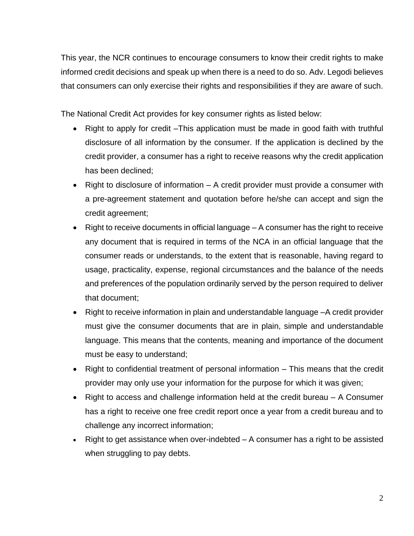This year, the NCR continues to encourage consumers to know their credit rights to make informed credit decisions and speak up when there is a need to do so. Adv. Legodi believes that consumers can only exercise their rights and responsibilities if they are aware of such.

The National Credit Act provides for key consumer rights as listed below:

- Right to apply for credit –This application must be made in good faith with truthful disclosure of all information by the consumer. If the application is declined by the credit provider, a consumer has a right to receive reasons why the credit application has been declined;
- Right to disclosure of information A credit provider must provide a consumer with a pre-agreement statement and quotation before he/she can accept and sign the credit agreement;
- Right to receive documents in official language A consumer has the right to receive any document that is required in terms of the NCA in an official language that the consumer reads or understands, to the extent that is reasonable, having regard to usage, practicality, expense, regional circumstances and the balance of the needs and preferences of the population ordinarily served by the person required to deliver that document;
- Right to receive information in plain and understandable language –A credit provider must give the consumer documents that are in plain, simple and understandable language. This means that the contents, meaning and importance of the document must be easy to understand;
- Right to confidential treatment of personal information This means that the credit provider may only use your information for the purpose for which it was given;
- Right to access and challenge information held at the credit bureau A Consumer has a right to receive one free credit report once a year from a credit bureau and to challenge any incorrect information;
- Right to get assistance when over-indebted A consumer has a right to be assisted when struggling to pay debts.